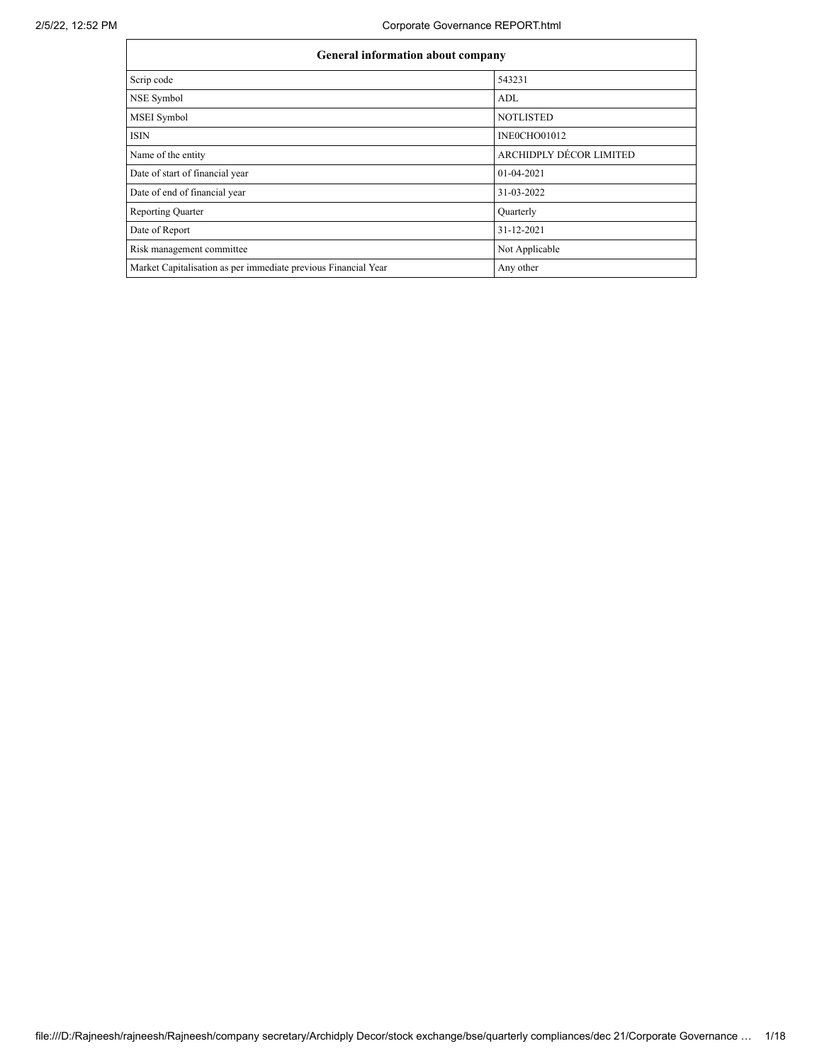| <b>General information about company</b>                       |                         |  |  |  |
|----------------------------------------------------------------|-------------------------|--|--|--|
| Scrip code                                                     | 543231                  |  |  |  |
| <b>NSE Symbol</b>                                              | ADL                     |  |  |  |
| MSEI Symbol                                                    | <b>NOTLISTED</b>        |  |  |  |
| <b>ISIN</b>                                                    | INEOCHO01012            |  |  |  |
| Name of the entity                                             | ARCHIDPLY DÉCOR LIMITED |  |  |  |
| Date of start of financial year                                | 01-04-2021              |  |  |  |
| Date of end of financial year                                  | 31-03-2022              |  |  |  |
| <b>Reporting Quarter</b>                                       | Quarterly               |  |  |  |
| Date of Report                                                 | 31-12-2021              |  |  |  |
| Risk management committee                                      | Not Applicable          |  |  |  |
| Market Capitalisation as per immediate previous Financial Year | Any other               |  |  |  |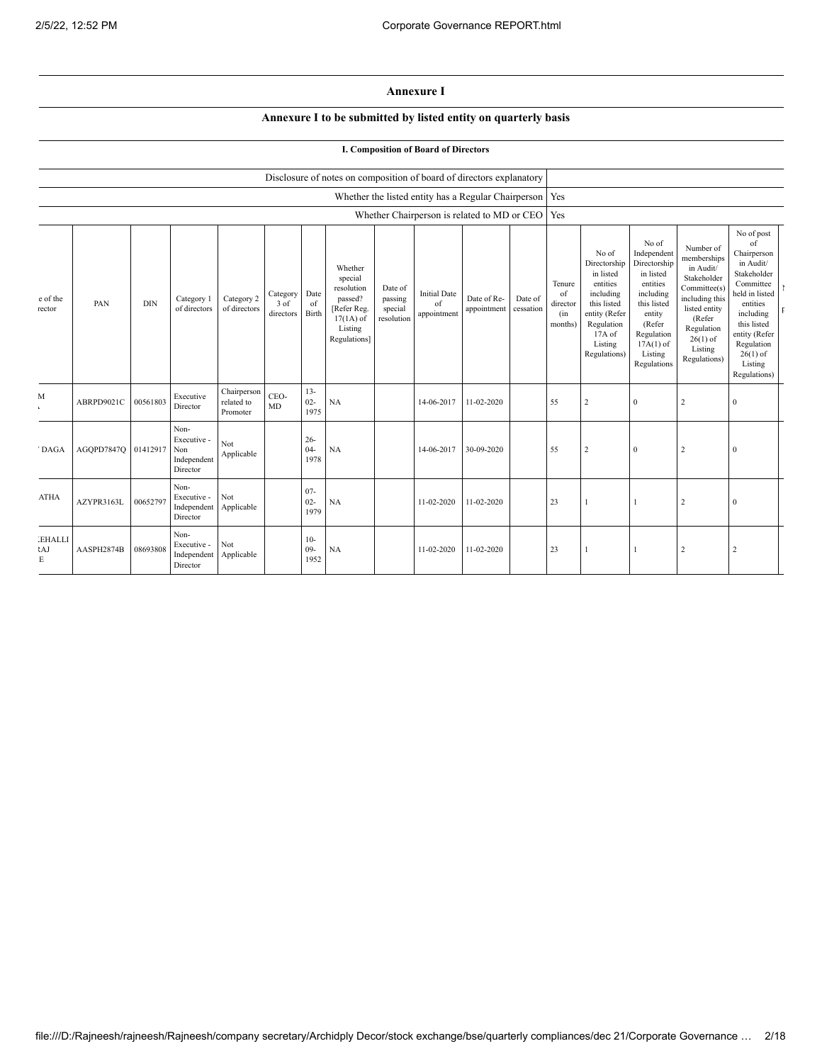$\mathbf{I}$  $\bar{\rm F}$ 

**Annexure I**

## **Annexure I to be submitted by listed entity on quarterly basis**

**I. Composition of Board of Directors**

|                           |                     |            |                                                       |                                       |                               |                          | Disclosure of notes on composition of board of directors explanatory                                 |                                             |                                          |                                                         |                      |                                            |                                                                                                                                                |                                                                                                                                                                      |                                                                                                                                                                          |                                                                                                                                                                                                            |  |
|---------------------------|---------------------|------------|-------------------------------------------------------|---------------------------------------|-------------------------------|--------------------------|------------------------------------------------------------------------------------------------------|---------------------------------------------|------------------------------------------|---------------------------------------------------------|----------------------|--------------------------------------------|------------------------------------------------------------------------------------------------------------------------------------------------|----------------------------------------------------------------------------------------------------------------------------------------------------------------------|--------------------------------------------------------------------------------------------------------------------------------------------------------------------------|------------------------------------------------------------------------------------------------------------------------------------------------------------------------------------------------------------|--|
|                           |                     |            |                                                       |                                       |                               |                          |                                                                                                      |                                             |                                          | Whether the listed entity has a Regular Chairperson Yes |                      |                                            |                                                                                                                                                |                                                                                                                                                                      |                                                                                                                                                                          |                                                                                                                                                                                                            |  |
|                           |                     |            |                                                       |                                       |                               |                          |                                                                                                      |                                             |                                          | Whether Chairperson is related to MD or CEO             |                      | Yes                                        |                                                                                                                                                |                                                                                                                                                                      |                                                                                                                                                                          |                                                                                                                                                                                                            |  |
| e of the<br>rector        | PAN                 | <b>DIN</b> | Category 1<br>of directors                            | Category 2<br>of directors            | Category<br>3 of<br>directors | Date<br>of<br>Birth      | Whether<br>special<br>resolution<br>passed?<br>[Refer Reg.<br>$17(1A)$ of<br>Listing<br>Regulations] | Date of<br>passing<br>special<br>resolution | <b>Initial Date</b><br>of<br>appointment | Date of Re-<br>appointment                              | Date of<br>cessation | Tenure<br>of<br>director<br>(in<br>months) | No of<br>Directorship<br>in listed<br>entities<br>including<br>this listed<br>entity (Refer<br>Regulation<br>17A of<br>Listing<br>Regulations) | No of<br>Independent<br>Directorship<br>in listed<br>entities<br>including<br>this listed<br>entity<br>(Refer<br>Regulation<br>$17A(1)$ of<br>Listing<br>Regulations | Number of<br>memberships<br>in Audit/<br>Stakeholder<br>Committee(s)<br>including this<br>listed entity<br>(Refer<br>Regulation<br>$26(1)$ of<br>Listing<br>Regulations) | No of post<br>of<br>Chairperson<br>in Audit/<br>Stakeholder<br>Committee<br>held in listed<br>entities<br>including<br>this listed<br>entity (Refer<br>Regulation<br>$26(1)$ of<br>Listing<br>Regulations) |  |
| M                         | ABRPD9021C          | 00561803   | Executive<br>Director                                 | Chairperson<br>related to<br>Promoter | CEO-<br>MD                    | $13 -$<br>$02 -$<br>1975 | NA                                                                                                   |                                             | 14-06-2017                               | 11-02-2020                                              |                      | 55                                         | 2                                                                                                                                              | $\boldsymbol{0}$                                                                                                                                                     | $\overline{2}$                                                                                                                                                           | $\Omega$                                                                                                                                                                                                   |  |
| <b>DAGA</b>               | AGQPD7847Q 01412917 |            | Non-<br>Executive -<br>Non<br>Independent<br>Director | Not<br>Applicable                     |                               | $26 -$<br>$04 -$<br>1978 | NA                                                                                                   |                                             | 14-06-2017                               | 30-09-2020                                              |                      | 55                                         | $\overline{2}$                                                                                                                                 | $\mathbf{0}$                                                                                                                                                         | $\overline{2}$                                                                                                                                                           | $\Omega$                                                                                                                                                                                                   |  |
| <b>ATHA</b>               | AZYPR3163L          | 00652797   | Non-<br>Executive -<br>Independent<br>Director        | Not<br>Applicable                     |                               | $07 -$<br>$02 -$<br>1979 | NA                                                                                                   |                                             | 11-02-2020                               | 11-02-2020                                              |                      | 23                                         |                                                                                                                                                |                                                                                                                                                                      | $\overline{2}$                                                                                                                                                           | $\Omega$                                                                                                                                                                                                   |  |
| <b>EHALLI</b><br>tAJ<br>E | AASPH2874B          | 08693808   | Non-<br>Executive -<br>Independent<br>Director        | Not<br>Applicable                     |                               | $10-$<br>$09 -$<br>1952  | NA                                                                                                   |                                             | 11-02-2020                               | 11-02-2020                                              |                      | 23                                         |                                                                                                                                                |                                                                                                                                                                      | $\overline{2}$                                                                                                                                                           | $\overline{2}$                                                                                                                                                                                             |  |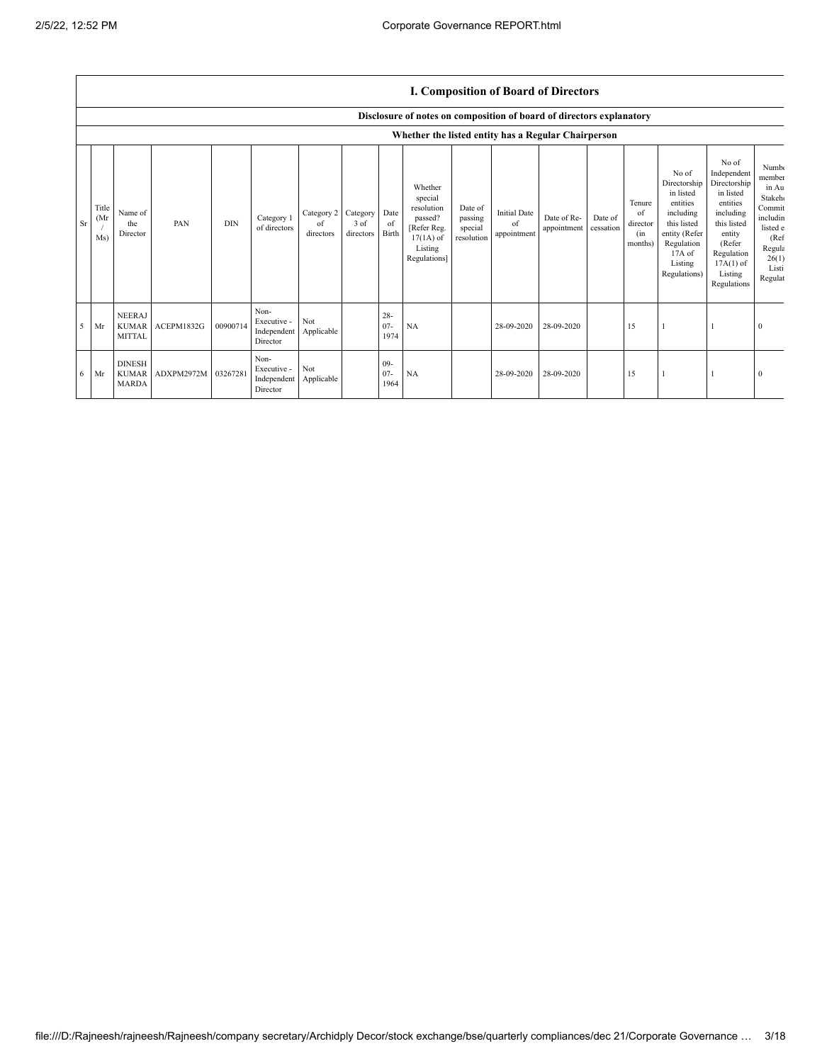## **I. Composition of Board of Directors**

|    |                      | Disclosure of notes on composition of board of directors explanatory |            |            |                                                |                               |                               |                          |                                                                                                      |                                             |                                          |                            |                      |                                            |                                                                                                                                                |                                                                                                                                                                      |                                                                                                                                          |
|----|----------------------|----------------------------------------------------------------------|------------|------------|------------------------------------------------|-------------------------------|-------------------------------|--------------------------|------------------------------------------------------------------------------------------------------|---------------------------------------------|------------------------------------------|----------------------------|----------------------|--------------------------------------------|------------------------------------------------------------------------------------------------------------------------------------------------|----------------------------------------------------------------------------------------------------------------------------------------------------------------------|------------------------------------------------------------------------------------------------------------------------------------------|
|    |                      |                                                                      |            |            |                                                |                               |                               |                          | Whether the listed entity has a Regular Chairperson                                                  |                                             |                                          |                            |                      |                                            |                                                                                                                                                |                                                                                                                                                                      |                                                                                                                                          |
| Sr | Title<br>(Mr)<br>Ms) | Name of<br>the<br>Director                                           | PAN        | <b>DIN</b> | Category 1<br>of directors                     | Category 2<br>of<br>directors | Category<br>3 of<br>directors | Date<br>of<br>Birth      | Whether<br>special<br>resolution<br>passed?<br>[Refer Reg.<br>$17(1A)$ of<br>Listing<br>Regulations] | Date of<br>passing<br>special<br>resolution | <b>Initial Date</b><br>of<br>appointment | Date of Re-<br>appointment | Date of<br>cessation | Tenure<br>of<br>director<br>(in<br>months) | No of<br>Directorship<br>in listed<br>entities<br>including<br>this listed<br>entity (Refer<br>Regulation<br>17A of<br>Listing<br>Regulations) | No of<br>Independent<br>Directorship<br>in listed<br>entities<br>including<br>this listed<br>entity<br>(Refer<br>Regulation<br>$17A(1)$ of<br>Listing<br>Regulations | Numb <sub>(</sub><br>member<br>in Au<br><b>Stakeho</b><br>Commit<br>includin<br>listed e<br>(Ref)<br>Regula<br>26(1)<br>Listi<br>Regulat |
| 5  | Mr                   | <b>NEERAJ</b><br><b>KUMAR</b><br><b>MITTAL</b>                       | ACEPM1832G | 00900714   | Non-<br>Executive -<br>Independent<br>Director | Not<br>Applicable             |                               | $28 -$<br>$07 -$<br>1974 | NA                                                                                                   |                                             | 28-09-2020                               | 28-09-2020                 |                      | 15                                         |                                                                                                                                                |                                                                                                                                                                      | $\Omega$                                                                                                                                 |
| 6  | Mr                   | <b>DINESH</b><br><b>KUMAR</b><br><b>MARDA</b>                        | ADXPM2972M | 03267281   | Non-<br>Executive -<br>Independent<br>Director | Not<br>Applicable             |                               | $09 -$<br>$07 -$<br>1964 | NA                                                                                                   |                                             | 28-09-2020                               | 28-09-2020                 |                      | 15                                         |                                                                                                                                                |                                                                                                                                                                      | $\theta$                                                                                                                                 |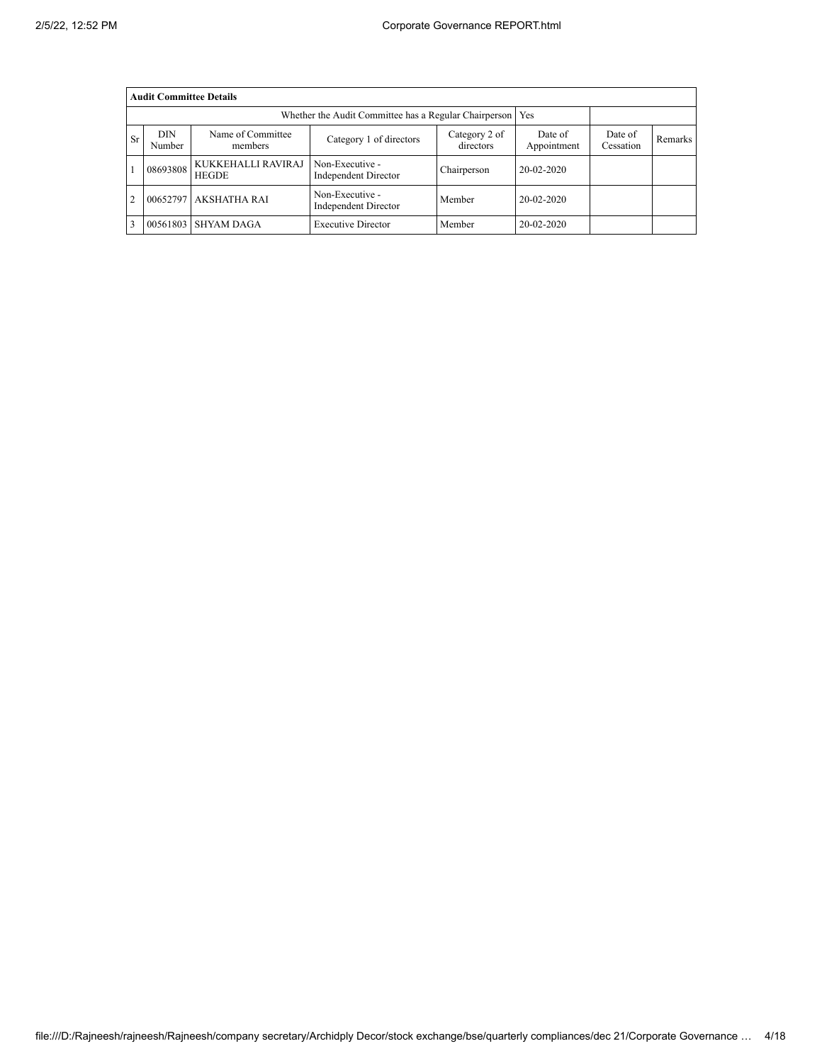|                | <b>Audit Committee Details</b>                                                                                |                                    |                                                       |             |                        |                      |         |  |  |
|----------------|---------------------------------------------------------------------------------------------------------------|------------------------------------|-------------------------------------------------------|-------------|------------------------|----------------------|---------|--|--|
|                |                                                                                                               |                                    | Whether the Audit Committee has a Regular Chairperson |             | Yes                    |                      |         |  |  |
| <b>Sr</b>      | <b>DIN</b><br>Name of Committee<br>Category 2 of<br>Category 1 of directors<br>directors<br>Number<br>members |                                    |                                                       |             | Date of<br>Appointment | Date of<br>Cessation | Remarks |  |  |
|                | 08693808                                                                                                      | KUKKEHALLI RAVIRAJ<br><b>HEGDE</b> | Non-Executive -<br><b>Independent Director</b>        | Chairperson | 20-02-2020             |                      |         |  |  |
| $\overline{2}$ | 00652797                                                                                                      | <b>AKSHATHA RAI</b>                | Non-Executive -<br><b>Independent Director</b>        | Member      | 20-02-2020             |                      |         |  |  |
| 3              |                                                                                                               | 00561803 SHYAM DAGA                | <b>Executive Director</b>                             | Member      | 20-02-2020             |                      |         |  |  |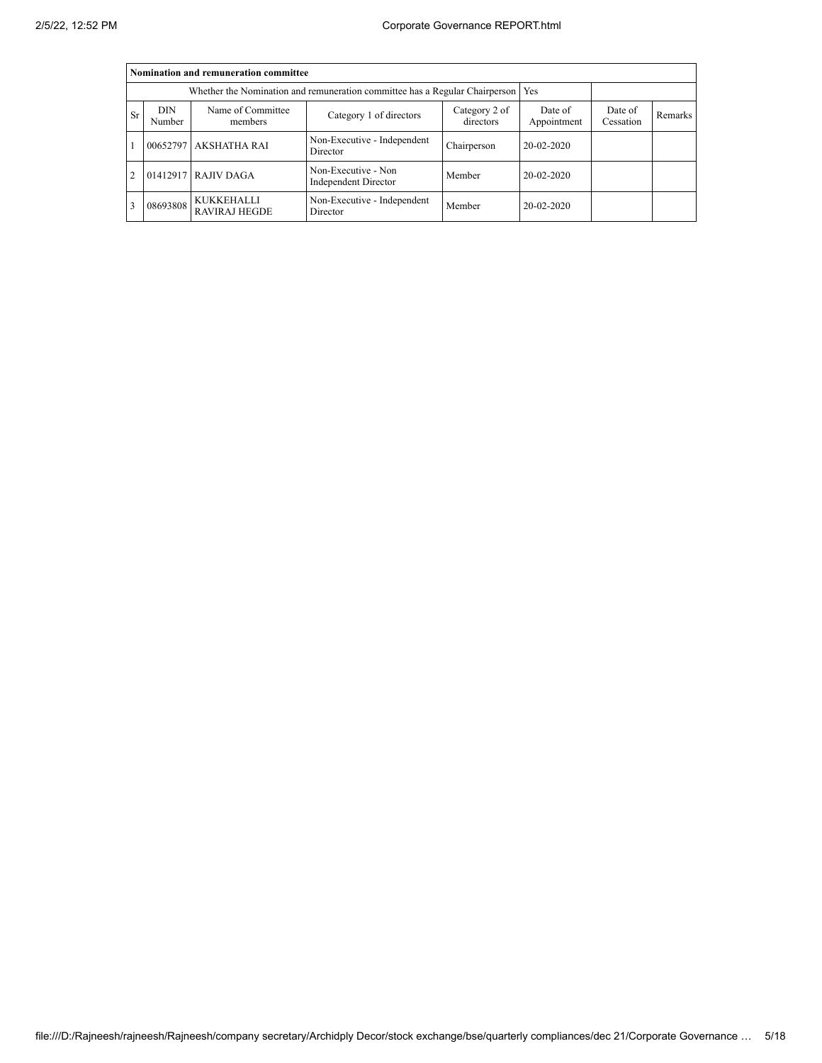|                | Nomination and remuneration committee |                                           |                                                                                   |             |              |                      |         |  |  |
|----------------|---------------------------------------|-------------------------------------------|-----------------------------------------------------------------------------------|-------------|--------------|----------------------|---------|--|--|
|                |                                       |                                           | Whether the Nomination and remuneration committee has a Regular Chairperson   Yes |             |              |                      |         |  |  |
| <b>Sr</b>      | <b>DIN</b><br>Number                  | Name of Committee<br>members              | Category 2 of<br>Category 1 of directors<br>directors<br>Appointment              |             |              | Date of<br>Cessation | Remarks |  |  |
|                | 00652797                              | <b>AKSHATHA RAI</b>                       | Non-Executive - Independent<br>Director                                           | Chairperson | 20-02-2020   |                      |         |  |  |
| $\overline{2}$ |                                       | 01412917 RAJIV DAGA                       | Non-Executive - Non<br><b>Independent Director</b>                                | Member      | $20-02-2020$ |                      |         |  |  |
|                | 08693808                              | <b>KUKKEHALLI</b><br><b>RAVIRAJ HEGDE</b> | Non-Executive - Independent<br>Director                                           | Member      | 20-02-2020   |                      |         |  |  |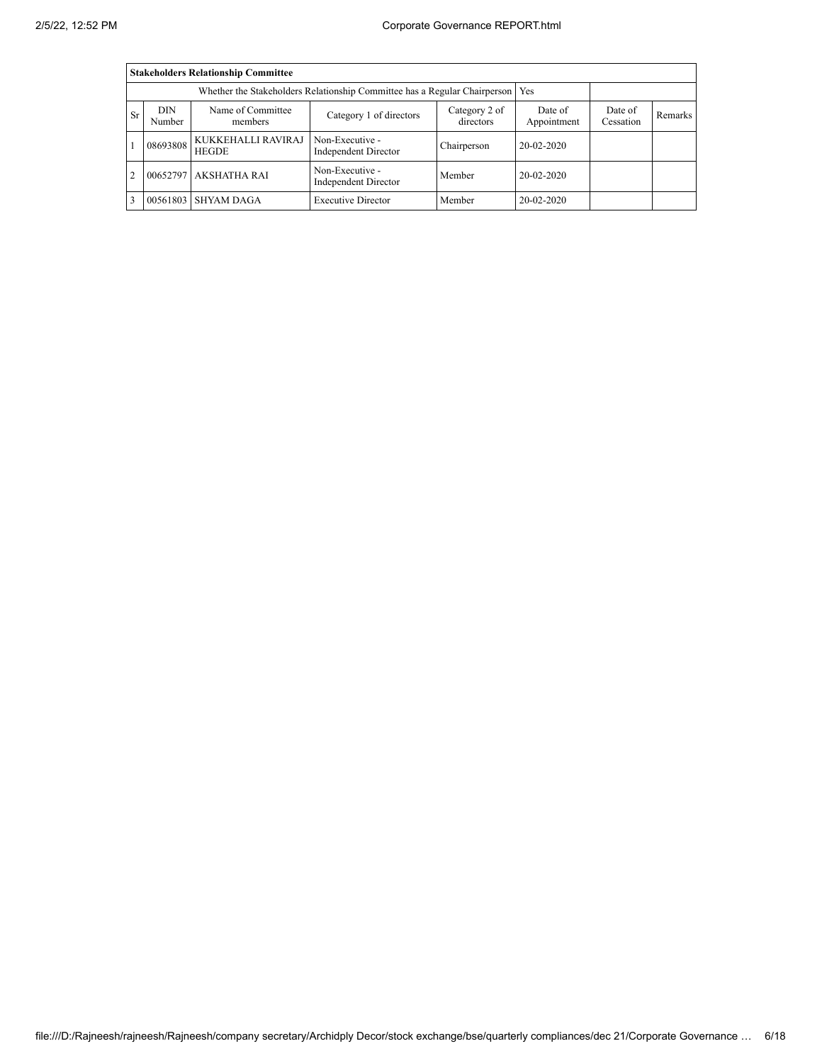|                | <b>Stakeholders Relationship Committee</b>                                                             |                                    |                                                                           |             |                        |                      |                |  |  |
|----------------|--------------------------------------------------------------------------------------------------------|------------------------------------|---------------------------------------------------------------------------|-------------|------------------------|----------------------|----------------|--|--|
|                |                                                                                                        |                                    | Whether the Stakeholders Relationship Committee has a Regular Chairperson |             | Yes                    |                      |                |  |  |
| <b>Sr</b>      | DIN<br>Name of Committee<br>Category 2 of<br>Category 1 of directors<br>directors<br>Number<br>members |                                    |                                                                           |             | Date of<br>Appointment | Date of<br>Cessation | <b>Remarks</b> |  |  |
|                | 08693808                                                                                               | KUKKEHALLI RAVIRAJ<br><b>HEGDE</b> | Non-Executive -<br>Independent Director                                   | Chairperson | 20-02-2020             |                      |                |  |  |
| $\overline{2}$ | 00652797                                                                                               | <b>AKSHATHA RAI</b>                | Non-Executive -<br><b>Independent Director</b>                            | Member      | 20-02-2020             |                      |                |  |  |
|                | 00561803                                                                                               | <b>SHYAM DAGA</b>                  | <b>Executive Director</b>                                                 | Member      | 20-02-2020             |                      |                |  |  |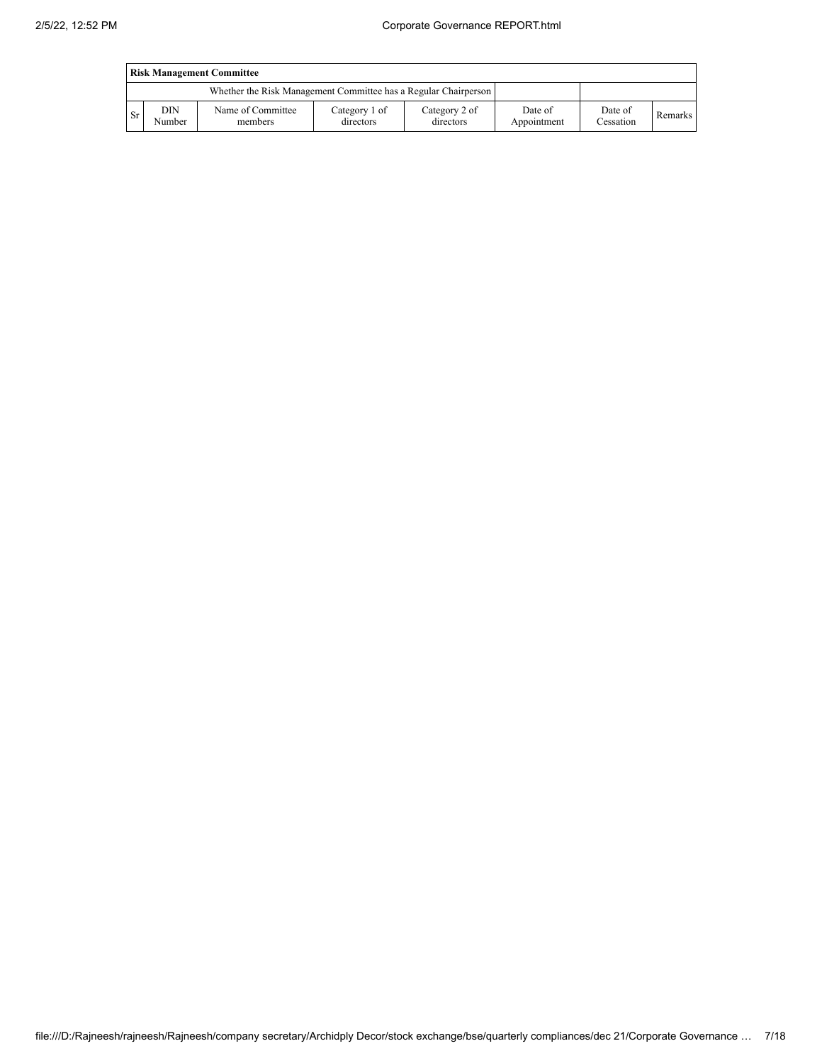|     | <b>Risk Management Committee</b> |                                                                 |                            |                            |                        |                      |         |  |
|-----|----------------------------------|-----------------------------------------------------------------|----------------------------|----------------------------|------------------------|----------------------|---------|--|
|     |                                  | Whether the Risk Management Committee has a Regular Chairperson |                            |                            |                        |                      |         |  |
| -Sr | DIN<br>Number                    | Name of Committee<br>members                                    | Category 1 of<br>directors | Category 2 of<br>directors | Date of<br>Appointment | Date of<br>Cessation | Remarks |  |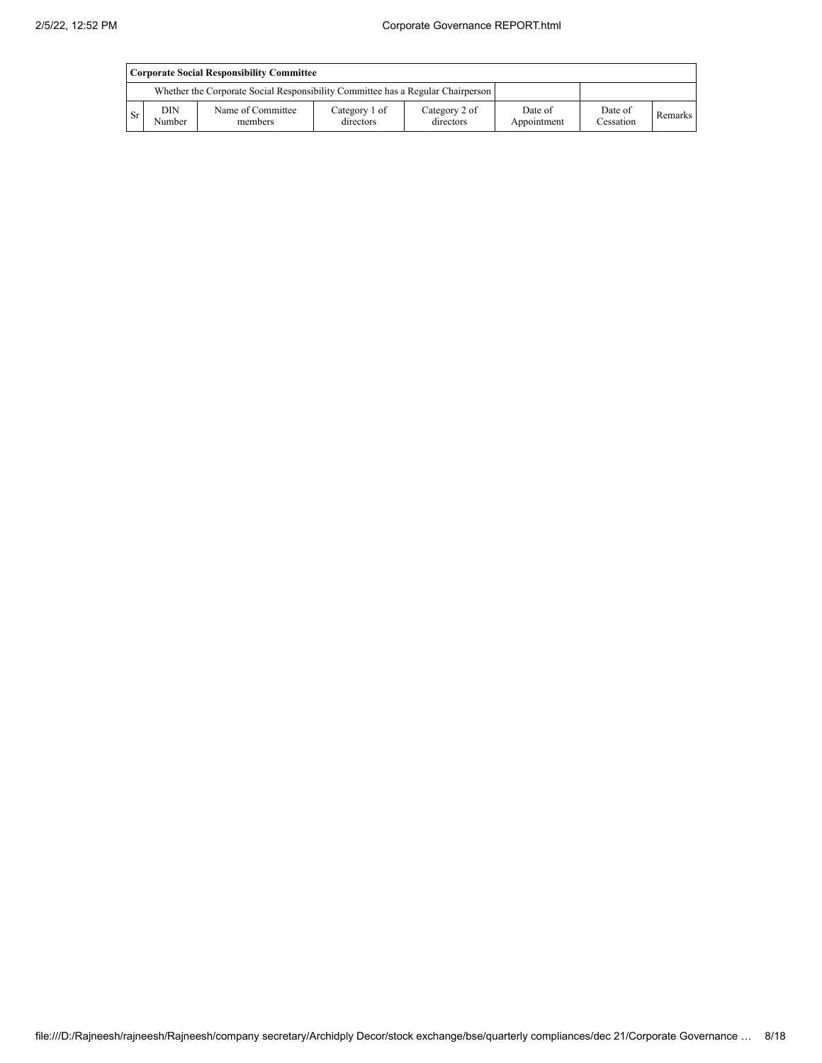|      | Corporate Social Responsibility Committee |                                                                                 |                            |                            |                        |                      |         |  |
|------|-------------------------------------------|---------------------------------------------------------------------------------|----------------------------|----------------------------|------------------------|----------------------|---------|--|
|      |                                           | Whether the Corporate Social Responsibility Committee has a Regular Chairperson |                            |                            |                        |                      |         |  |
| - Sr | DIN<br>Number                             | Name of Committee<br>members                                                    | Category 1 of<br>directors | Category 2 of<br>directors | Date of<br>Appointment | Date of<br>Cessation | Remarks |  |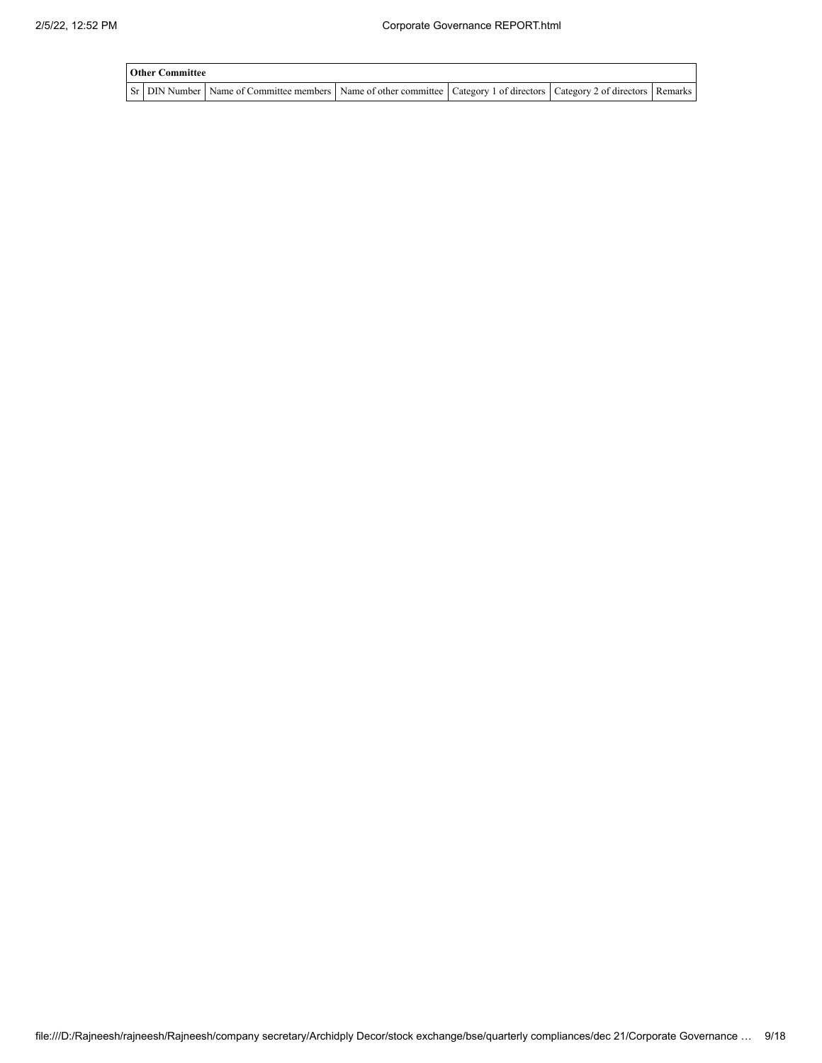| <b>Other Committee</b> |                                                                                                                                     |  |  |
|------------------------|-------------------------------------------------------------------------------------------------------------------------------------|--|--|
|                        | Sr   DIN Number   Name of Committee members   Name of other committee   Category 1 of directors   Category 2 of directors   Remarks |  |  |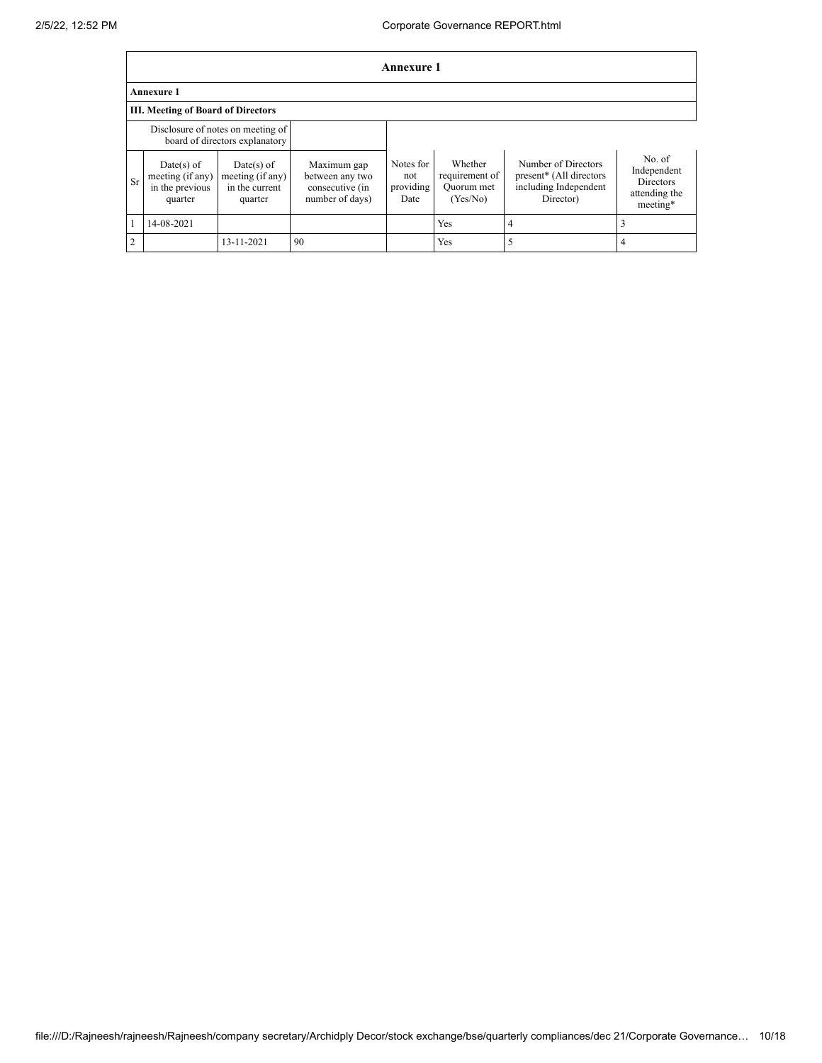|                | <b>Annexure 1</b>                                            |                                                                     |                                                                      |                                       |                                                     |                                                                                      |                                                                        |  |
|----------------|--------------------------------------------------------------|---------------------------------------------------------------------|----------------------------------------------------------------------|---------------------------------------|-----------------------------------------------------|--------------------------------------------------------------------------------------|------------------------------------------------------------------------|--|
|                | Annexure 1                                                   |                                                                     |                                                                      |                                       |                                                     |                                                                                      |                                                                        |  |
|                | III. Meeting of Board of Directors                           |                                                                     |                                                                      |                                       |                                                     |                                                                                      |                                                                        |  |
|                |                                                              | Disclosure of notes on meeting of<br>board of directors explanatory |                                                                      |                                       |                                                     |                                                                                      |                                                                        |  |
| <b>Sr</b>      | Date(s) of<br>meeting (if any)<br>in the previous<br>quarter | $Date(s)$ of<br>meeting (if any)<br>in the current<br>quarter       | Maximum gap<br>between any two<br>consecutive (in<br>number of days) | Notes for<br>not<br>providing<br>Date | Whether<br>requirement of<br>Ouorum met<br>(Yes/No) | Number of Directors<br>present* (All directors<br>including Independent<br>Director) | No. of<br>Independent<br><b>Directors</b><br>attending the<br>meeting* |  |
|                | 14-08-2021                                                   |                                                                     |                                                                      |                                       | Yes                                                 | $\overline{4}$                                                                       |                                                                        |  |
| $\overline{2}$ |                                                              | 13-11-2021                                                          | 90                                                                   |                                       | Yes                                                 | 5                                                                                    |                                                                        |  |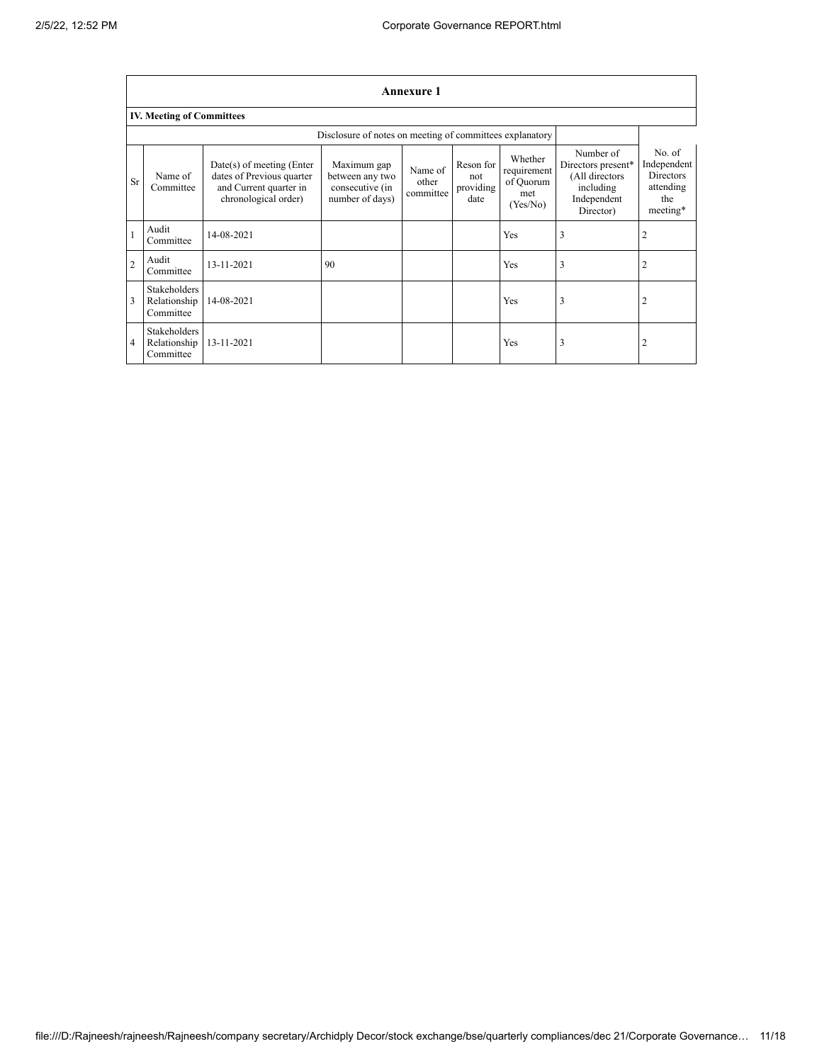|                | <b>Annexure 1</b>                                |                                                                                                            |                                                                      |                               |                                       |                                                        |                                                                                            |                                                                           |
|----------------|--------------------------------------------------|------------------------------------------------------------------------------------------------------------|----------------------------------------------------------------------|-------------------------------|---------------------------------------|--------------------------------------------------------|--------------------------------------------------------------------------------------------|---------------------------------------------------------------------------|
|                | <b>IV. Meeting of Committees</b>                 |                                                                                                            |                                                                      |                               |                                       |                                                        |                                                                                            |                                                                           |
|                |                                                  |                                                                                                            | Disclosure of notes on meeting of committees explanatory             |                               |                                       |                                                        |                                                                                            |                                                                           |
| <b>Sr</b>      | Name of<br>Committee                             | $Date(s)$ of meeting (Enter<br>dates of Previous quarter<br>and Current quarter in<br>chronological order) | Maximum gap<br>between any two<br>consecutive (in<br>number of days) | Name of<br>other<br>committee | Reson for<br>not<br>providing<br>date | Whether<br>requirement<br>of Quorum<br>met<br>(Yes/No) | Number of<br>Directors present*<br>(All directors<br>including<br>Independent<br>Director) | No. of<br>Independent<br><b>Directors</b><br>attending<br>the<br>meeting* |
| $\mathbf{1}$   | Audit<br>Committee                               | 14-08-2021                                                                                                 |                                                                      |                               |                                       | Yes                                                    | 3                                                                                          | $\overline{2}$                                                            |
| $\overline{2}$ | Audit<br>Committee                               | 13-11-2021                                                                                                 | 90                                                                   |                               |                                       | Yes                                                    | 3                                                                                          | 2                                                                         |
| $\overline{3}$ | <b>Stakeholders</b><br>Relationship<br>Committee | 14-08-2021                                                                                                 |                                                                      |                               |                                       | Yes                                                    | 3                                                                                          | 2                                                                         |
| 4              | <b>Stakeholders</b><br>Relationship<br>Committee | 13-11-2021                                                                                                 |                                                                      |                               |                                       | Yes                                                    | 3                                                                                          | 2                                                                         |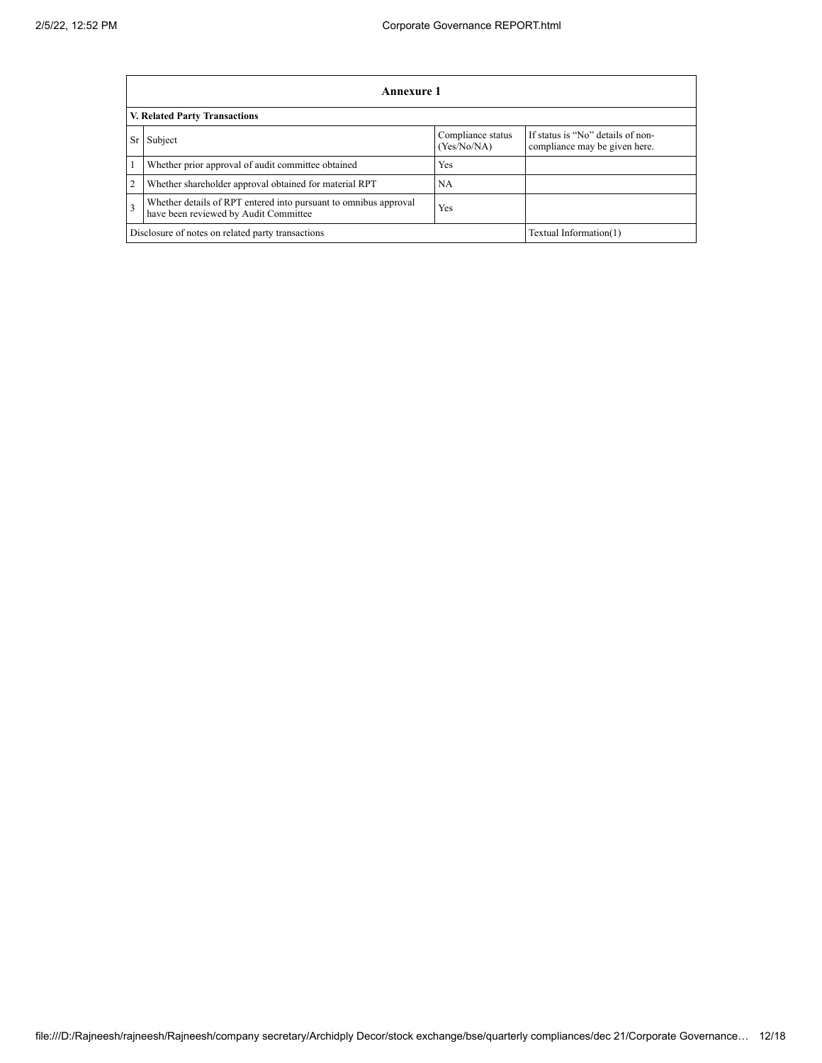|                | Annexure 1                                                                                                       |                                  |                                                                    |  |  |  |  |
|----------------|------------------------------------------------------------------------------------------------------------------|----------------------------------|--------------------------------------------------------------------|--|--|--|--|
|                | <b>V. Related Party Transactions</b>                                                                             |                                  |                                                                    |  |  |  |  |
| <b>Sr</b>      | Subject                                                                                                          | Compliance status<br>(Yes/No/NA) | If status is "No" details of non-<br>compliance may be given here. |  |  |  |  |
|                | Whether prior approval of audit committee obtained                                                               | Yes                              |                                                                    |  |  |  |  |
| $\overline{2}$ | Whether shareholder approval obtained for material RPT                                                           | <b>NA</b>                        |                                                                    |  |  |  |  |
| $\overline{3}$ | Whether details of RPT entered into pursuant to omnibus approval<br>Yes<br>have been reviewed by Audit Committee |                                  |                                                                    |  |  |  |  |
|                | Disclosure of notes on related party transactions<br>Textual Information(1)                                      |                                  |                                                                    |  |  |  |  |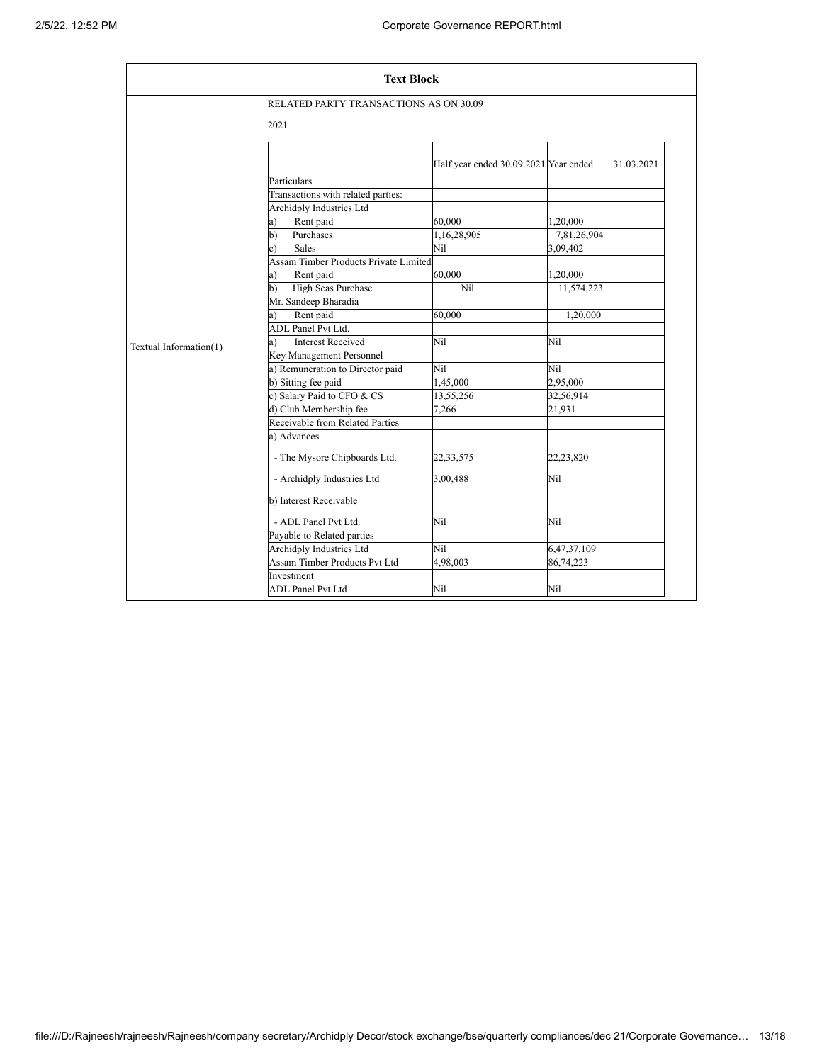| <b>Text Block</b>      |                                        |                                       |             |  |  |
|------------------------|----------------------------------------|---------------------------------------|-------------|--|--|
|                        | RELATED PARTY TRANSACTIONS AS ON 30.09 |                                       |             |  |  |
|                        | 2021                                   |                                       |             |  |  |
|                        |                                        | Half year ended 30.09.2021 Year ended | 31.03.2021  |  |  |
|                        | Particulars                            |                                       |             |  |  |
|                        | Transactions with related parties:     |                                       |             |  |  |
|                        | Archidply Industries Ltd               |                                       |             |  |  |
|                        | Rent paid<br>a)                        | 60.000                                | 1,20,000    |  |  |
|                        | $\mathbf{b}$<br>Purchases              | 1,16,28,905                           | 7,81,26,904 |  |  |
|                        | <b>Sales</b><br>c)                     | Nil                                   | 3,09,402    |  |  |
|                        | Assam Timber Products Private Limited  |                                       |             |  |  |
|                        | Rent paid<br>a)                        | 60,000                                | 1,20,000    |  |  |
|                        | <b>High Seas Purchase</b><br>b)        | Nil                                   | 11,574,223  |  |  |
|                        | Mr. Sandeep Bharadia                   |                                       |             |  |  |
|                        | Rent paid<br>a)                        | 60.000                                | 1,20,000    |  |  |
|                        | <b>ADL</b> Panel Pvt Ltd.              |                                       |             |  |  |
|                        | <b>Interest Received</b>               | Nil                                   | Nil         |  |  |
| Textual Information(1) | Key Management Personnel               |                                       |             |  |  |
|                        | a) Remuneration to Director paid       | Nil                                   | Nil         |  |  |
|                        | b) Sitting fee paid                    | 1,45,000                              | 2,95,000    |  |  |
|                        | c) Salary Paid to CFO & CS             | 13,55,256                             | 32,56,914   |  |  |
|                        | d) Club Membership fee                 | 7,266                                 | 21,931      |  |  |
|                        | Receivable from Related Parties        |                                       |             |  |  |
|                        | a) Advances                            |                                       |             |  |  |
|                        | - The Mysore Chipboards Ltd.           | 22,33,575                             | 22,23,820   |  |  |
|                        | - Archidply Industries Ltd             | 3,00,488                              | Nil         |  |  |
|                        | b) Interest Receivable                 |                                       |             |  |  |
|                        | - ADL Panel Pvt Ltd.                   | Nil                                   | Nil         |  |  |
|                        | Payable to Related parties             |                                       |             |  |  |
|                        | Archidply Industries Ltd               | Nil                                   | 6,47,37,109 |  |  |
|                        | Assam Timber Products Pvt Ltd          | 4,98,003                              | 86,74,223   |  |  |
|                        | Investment                             |                                       |             |  |  |
|                        | <b>ADL Panel Pvt Ltd</b>               | Nil                                   | Nil         |  |  |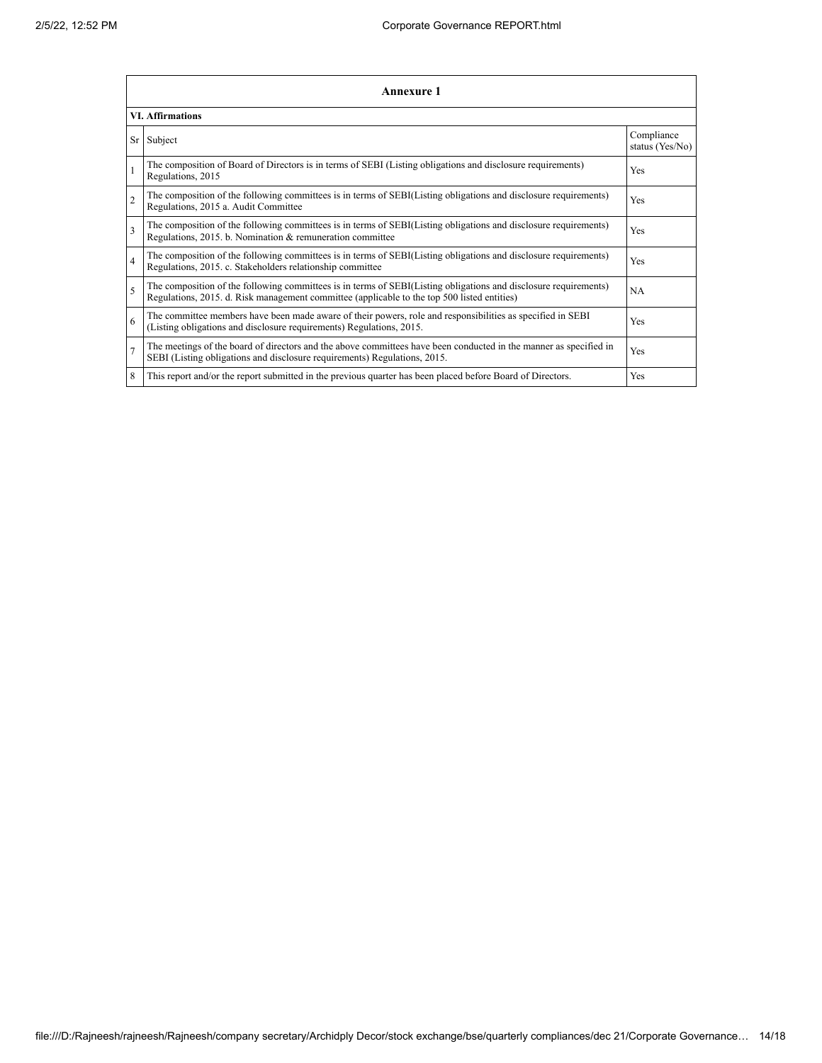|                          | <b>Annexure 1</b>                                                                                                                                                                                               |                               |  |  |  |  |
|--------------------------|-----------------------------------------------------------------------------------------------------------------------------------------------------------------------------------------------------------------|-------------------------------|--|--|--|--|
|                          | <b>VI. Affirmations</b>                                                                                                                                                                                         |                               |  |  |  |  |
| Sr                       | Subject                                                                                                                                                                                                         | Compliance<br>status (Yes/No) |  |  |  |  |
|                          | The composition of Board of Directors is in terms of SEBI (Listing obligations and disclosure requirements)<br>Regulations, 2015                                                                                | Yes                           |  |  |  |  |
| $\overline{c}$           | The composition of the following committees is in terms of SEBI(Listing obligations and disclosure requirements)<br>Regulations, 2015 a. Audit Committee                                                        | Yes                           |  |  |  |  |
| $\overline{\mathbf{3}}$  | The composition of the following committees is in terms of SEBI(Listing obligations and disclosure requirements)<br>Regulations, 2015. b. Nomination & remuneration committee                                   | <b>Yes</b>                    |  |  |  |  |
| $\overline{4}$           | The composition of the following committees is in terms of SEBI(Listing obligations and disclosure requirements)<br>Regulations, 2015. c. Stakeholders relationship committee                                   | Yes                           |  |  |  |  |
| $\overline{\phantom{0}}$ | The composition of the following committees is in terms of SEBI(Listing obligations and disclosure requirements)<br>Regulations, 2015. d. Risk management committee (applicable to the top 500 listed entities) | <b>NA</b>                     |  |  |  |  |
| 6                        | The committee members have been made aware of their powers, role and responsibilities as specified in SEBI<br>(Listing obligations and disclosure requirements) Regulations, 2015.                              | Yes                           |  |  |  |  |
| $\overline{7}$           | The meetings of the board of directors and the above committees have been conducted in the manner as specified in<br>SEBI (Listing obligations and disclosure requirements) Regulations, 2015.                  | <b>Yes</b>                    |  |  |  |  |
| 8                        | This report and/or the report submitted in the previous quarter has been placed before Board of Directors.                                                                                                      | Yes                           |  |  |  |  |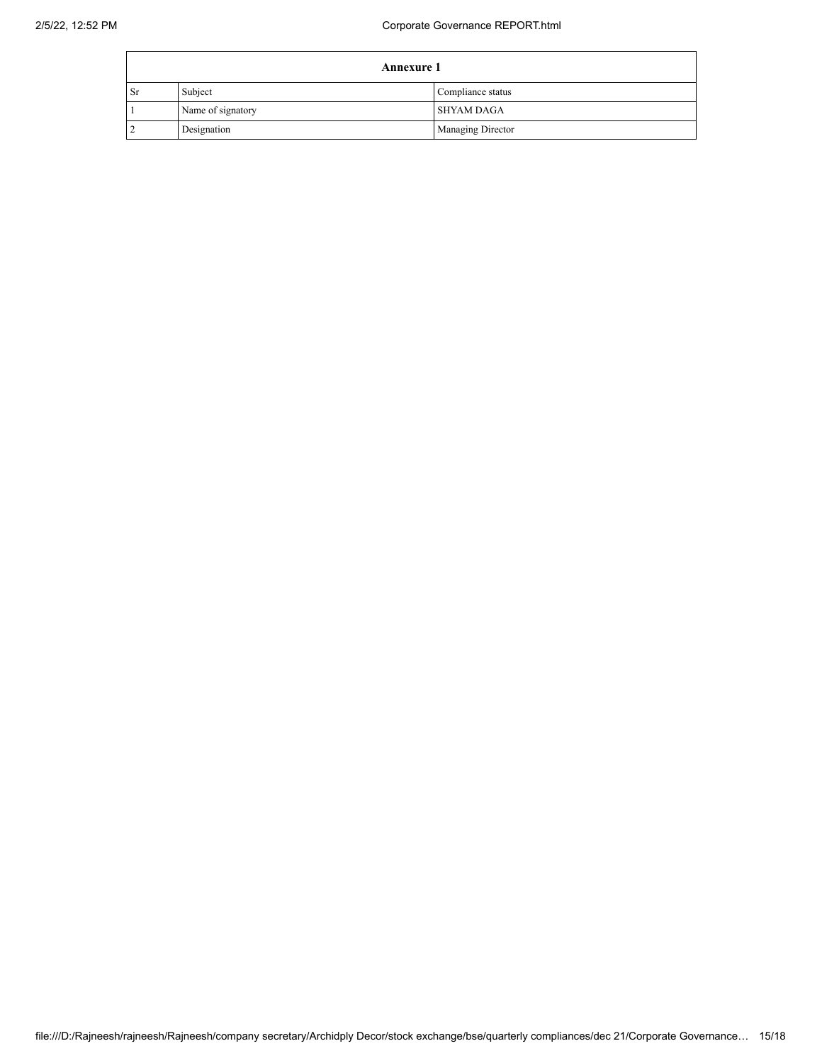| <b>Annexure 1</b> |                   |                          |  |  |
|-------------------|-------------------|--------------------------|--|--|
| <b>Sr</b>         | Subject           | Compliance status        |  |  |
|                   | Name of signatory | <b>SHYAM DAGA</b>        |  |  |
|                   | Designation       | <b>Managing Director</b> |  |  |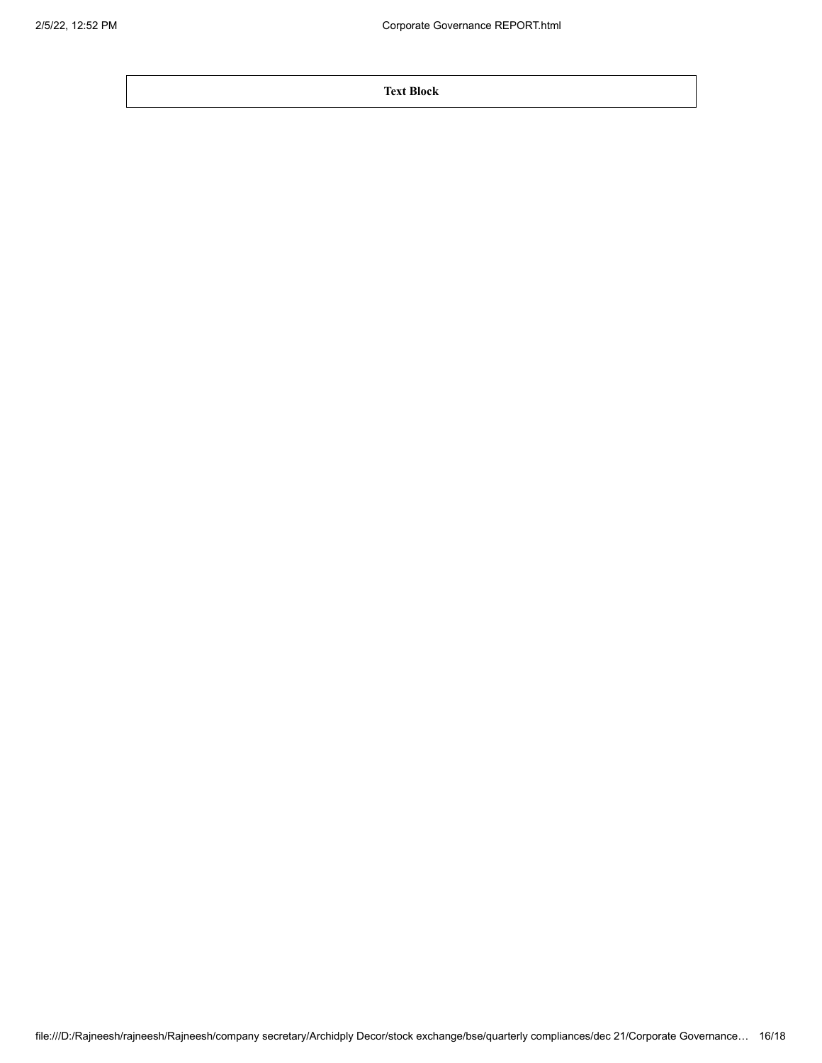**Text Block**